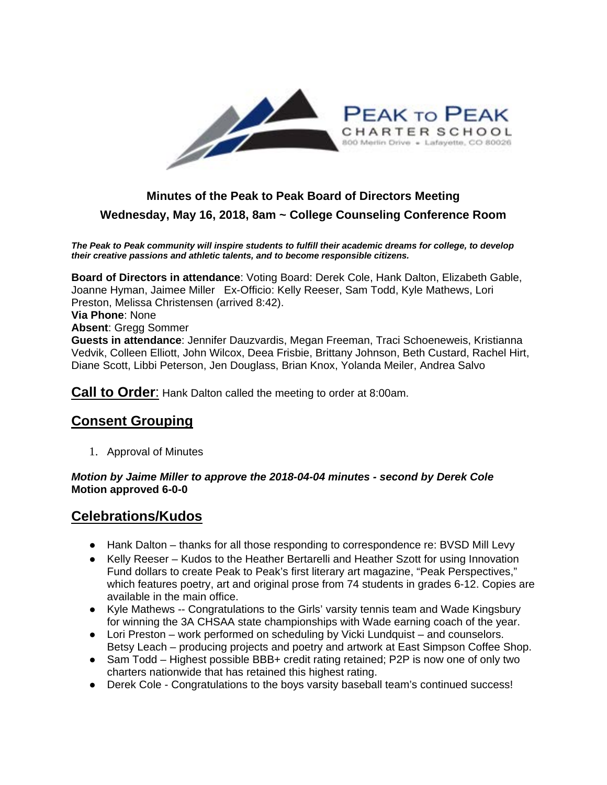

## **Minutes of the Peak to Peak Board of Directors Meeting Wednesday, May 16, 2018, 8am ~ College Counseling Conference Room**

*The Peak to Peak community will inspire students to fulfill their academic dreams for college, to develop their creative passions and athletic talents, and to become responsible citizens.*

**Board of Directors in attendance**: Voting Board: Derek Cole, Hank Dalton, Elizabeth Gable, Joanne Hyman, Jaimee Miller Ex-Officio: Kelly Reeser, Sam Todd, Kyle Mathews, Lori Preston, Melissa Christensen (arrived 8:42).

#### **Via Phone**: None

**Absent**: Gregg Sommer

**Guests in attendance**: Jennifer Dauzvardis, Megan Freeman, Traci Schoeneweis, Kristianna Vedvik, Colleen Elliott, John Wilcox, Deea Frisbie, Brittany Johnson, Beth Custard, Rachel Hirt, Diane Scott, Libbi Peterson, Jen Douglass, Brian Knox, Yolanda Meiler, Andrea Salvo

**Call to Order**: Hank Dalton called the meeting to order at 8:00am.

#### **Consent Grouping**

1. Approval of Minutes

#### *Motion by Jaime Miller to approve the 2018-04-04 minutes - second by Derek Cole* **Motion approved 6-0-0**

#### **Celebrations/Kudos**

- Hank Dalton thanks for all those responding to correspondence re: BVSD Mill Levy
- Kelly Reeser Kudos to the Heather Bertarelli and Heather Szott for using Innovation Fund dollars to create Peak to Peak's first literary art magazine, "Peak Perspectives," which features poetry, art and original prose from 74 students in grades 6-12. Copies are available in the main office.
- Kyle Mathews -- Congratulations to the Girls' varsity tennis team and Wade Kingsbury for winning the 3A CHSAA state championships with Wade earning coach of the year.
- Lori Preston work performed on scheduling by Vicki Lundquist and counselors. Betsy Leach – producing projects and poetry and artwork at East Simpson Coffee Shop.
- Sam Todd Highest possible BBB+ credit rating retained; P2P is now one of only two charters nationwide that has retained this highest rating.
- Derek Cole Congratulations to the boys varsity baseball team's continued success!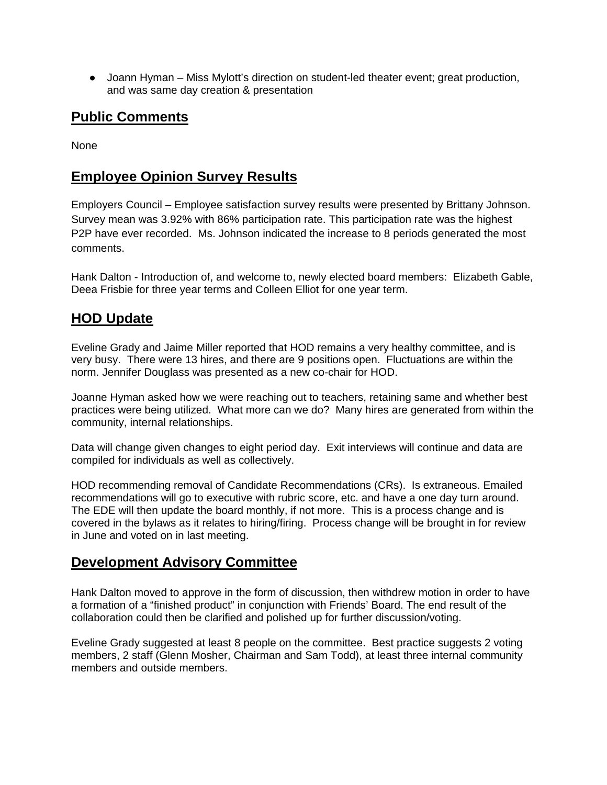• Joann Hyman – Miss Mylott's direction on student-led theater event; great production, and was same day creation & presentation

## **Public Comments**

None

## **Employee Opinion Survey Results**

Employers Council – Employee satisfaction survey results were presented by Brittany Johnson. Survey mean was 3.92% with 86% participation rate. This participation rate was the highest P2P have ever recorded. Ms. Johnson indicated the increase to 8 periods generated the most comments.

Hank Dalton - Introduction of, and welcome to, newly elected board members: Elizabeth Gable, Deea Frisbie for three year terms and Colleen Elliot for one year term.

## **HOD Update**

Eveline Grady and Jaime Miller reported that HOD remains a very healthy committee, and is very busy. There were 13 hires, and there are 9 positions open. Fluctuations are within the norm. Jennifer Douglass was presented as a new co-chair for HOD.

Joanne Hyman asked how we were reaching out to teachers, retaining same and whether best practices were being utilized. What more can we do? Many hires are generated from within the community, internal relationships.

Data will change given changes to eight period day. Exit interviews will continue and data are compiled for individuals as well as collectively.

HOD recommending removal of Candidate Recommendations (CRs). Is extraneous. Emailed recommendations will go to executive with rubric score, etc. and have a one day turn around. The EDE will then update the board monthly, if not more. This is a process change and is covered in the bylaws as it relates to hiring/firing. Process change will be brought in for review in June and voted on in last meeting.

#### **Development Advisory Committee**

Hank Dalton moved to approve in the form of discussion, then withdrew motion in order to have a formation of a "finished product" in conjunction with Friends' Board. The end result of the collaboration could then be clarified and polished up for further discussion/voting.

Eveline Grady suggested at least 8 people on the committee. Best practice suggests 2 voting members, 2 staff (Glenn Mosher, Chairman and Sam Todd), at least three internal community members and outside members.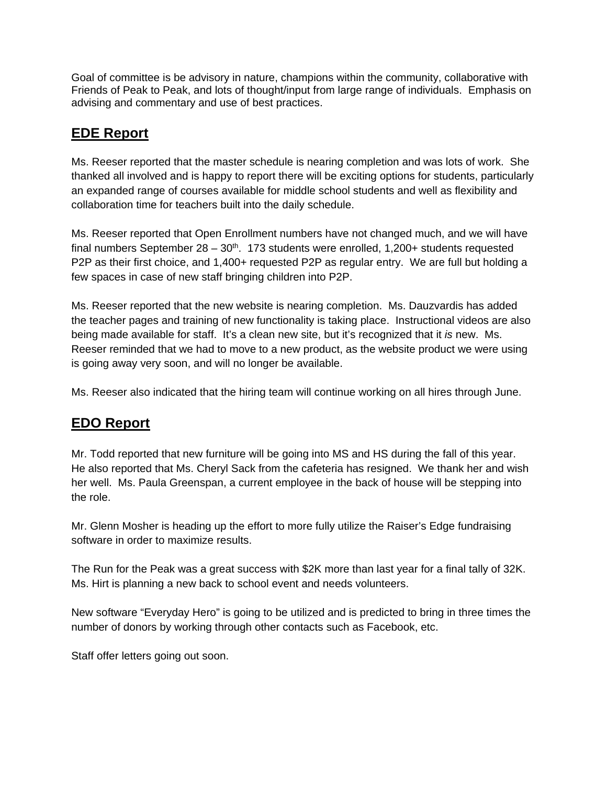Goal of committee is be advisory in nature, champions within the community, collaborative with Friends of Peak to Peak, and lots of thought/input from large range of individuals. Emphasis on advising and commentary and use of best practices.

#### **EDE Report**

Ms. Reeser reported that the master schedule is nearing completion and was lots of work. She thanked all involved and is happy to report there will be exciting options for students, particularly an expanded range of courses available for middle school students and well as flexibility and collaboration time for teachers built into the daily schedule.

Ms. Reeser reported that Open Enrollment numbers have not changed much, and we will have final numbers September  $28 - 30$ <sup>th</sup>. 173 students were enrolled, 1,200+ students requested P2P as their first choice, and 1,400+ requested P2P as regular entry. We are full but holding a few spaces in case of new staff bringing children into P2P.

Ms. Reeser reported that the new website is nearing completion. Ms. Dauzvardis has added the teacher pages and training of new functionality is taking place. Instructional videos are also being made available for staff. It's a clean new site, but it's recognized that it *is* new. Ms. Reeser reminded that we had to move to a new product, as the website product we were using is going away very soon, and will no longer be available.

Ms. Reeser also indicated that the hiring team will continue working on all hires through June.

## **EDO Report**

Mr. Todd reported that new furniture will be going into MS and HS during the fall of this year. He also reported that Ms. Cheryl Sack from the cafeteria has resigned. We thank her and wish her well. Ms. Paula Greenspan, a current employee in the back of house will be stepping into the role.

Mr. Glenn Mosher is heading up the effort to more fully utilize the Raiser's Edge fundraising software in order to maximize results.

The Run for the Peak was a great success with \$2K more than last year for a final tally of 32K. Ms. Hirt is planning a new back to school event and needs volunteers.

New software "Everyday Hero" is going to be utilized and is predicted to bring in three times the number of donors by working through other contacts such as Facebook, etc.

Staff offer letters going out soon.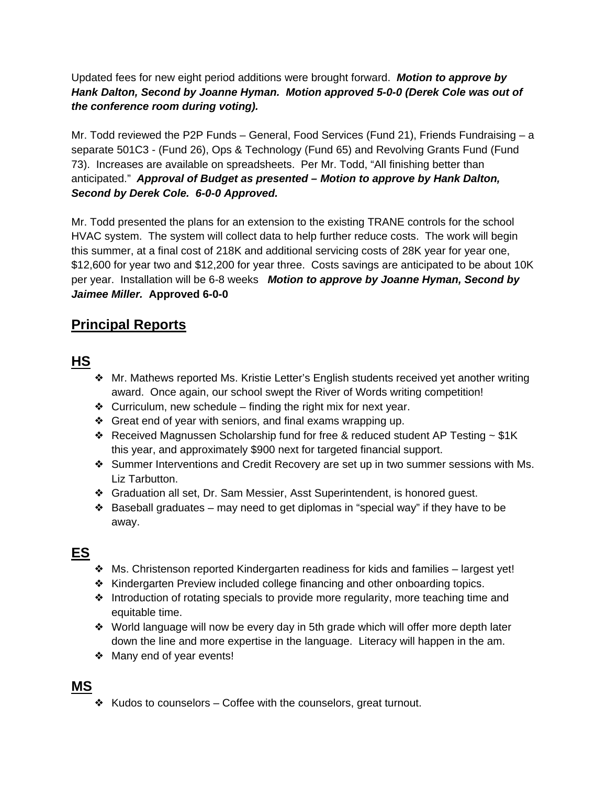Updated fees for new eight period additions were brought forward. *Motion to approve by Hank Dalton, Second by Joanne Hyman. Motion approved 5-0-0 (Derek Cole was out of the conference room during voting).*

Mr. Todd reviewed the P2P Funds – General, Food Services (Fund 21), Friends Fundraising – a separate 501C3 - (Fund 26), Ops & Technology (Fund 65) and Revolving Grants Fund (Fund 73). Increases are available on spreadsheets. Per Mr. Todd, "All finishing better than anticipated." *Approval of Budget as presented – Motion to approve by Hank Dalton, Second by Derek Cole. 6-0-0 Approved.*

Mr. Todd presented the plans for an extension to the existing TRANE controls for the school HVAC system. The system will collect data to help further reduce costs. The work will begin this summer, at a final cost of 218K and additional servicing costs of 28K year for year one, \$12,600 for year two and \$12,200 for year three. Costs savings are anticipated to be about 10K per year. Installation will be 6-8 weeks *Motion to approve by Joanne Hyman, Second by Jaimee Miller.* **Approved 6-0-0**

## **Principal Reports**

## **HS**

- ❖ Mr. Mathews reported Ms. Kristie Letter's English students received yet another writing award. Once again, our school swept the River of Words writing competition!
- ❖ Curriculum, new schedule finding the right mix for next year.
- ❖ Great end of year with seniors, and final exams wrapping up.
- **◆ Received Magnussen Scholarship fund for free & reduced student AP Testing**  $\sim$  **\$1K** this year, and approximately \$900 next for targeted financial support.
- ❖ Summer Interventions and Credit Recovery are set up in two summer sessions with Ms. Liz Tarbutton.
- ❖ Graduation all set, Dr. Sam Messier, Asst Superintendent, is honored guest.
- $\triangle$  Baseball graduates may need to get diplomas in "special way" if they have to be away.

# **ES**

- ❖ Ms. Christenson reported Kindergarten readiness for kids and families largest yet!
- ❖ Kindergarten Preview included college financing and other onboarding topics.
- ❖ Introduction of rotating specials to provide more regularity, more teaching time and equitable time.
- ❖ World language will now be every day in 5th grade which will offer more depth later down the line and more expertise in the language. Literacy will happen in the am.
- ❖ Many end of year events!

#### **MS**

❖ Kudos to counselors – Coffee with the counselors, great turnout.